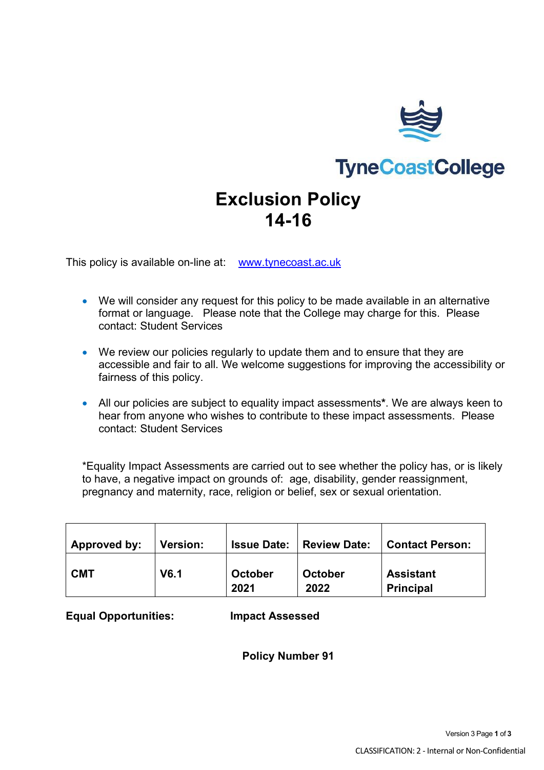

# **TyneCoastCollege**

## **Exclusion Policy 14-16**

This policy is available on-line at: [www.tynecoast.ac.uk](http://www.tynecoast.ac.uk/)

- We will consider any request for this policy to be made available in an alternative format or language. Please note that the College may charge for this. Please contact: Student Services
- We review our policies regularly to update them and to ensure that they are accessible and fair to all. We welcome suggestions for improving the accessibility or fairness of this policy.
- All our policies are subject to equality impact assessments**\***. We are always keen to hear from anyone who wishes to contribute to these impact assessments. Please contact: Student Services

\*Equality Impact Assessments are carried out to see whether the policy has, or is likely to have, a negative impact on grounds of: age, disability, gender reassignment, pregnancy and maternity, race, religion or belief, sex or sexual orientation.

| Approved by: | <b>Version:</b> | <b>Issue Date:</b> | <b>Review Date:</b> | <b>Contact Person:</b>               |
|--------------|-----------------|--------------------|---------------------|--------------------------------------|
| <b>CMT</b>   | V6.1            | October<br>2021    | October<br>2022     | <b>Assistant</b><br><b>Principal</b> |

**Equal Opportunities: Impact Assessed**

#### **Policy Number 91**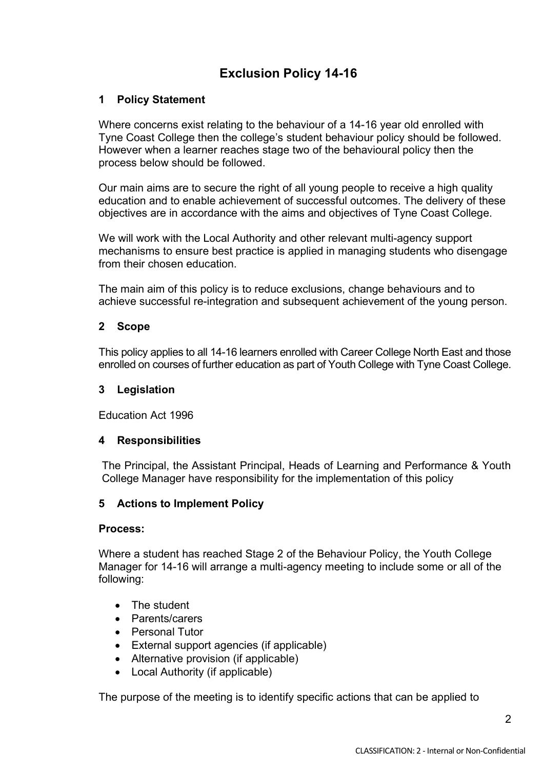### **Exclusion Policy 14-16**

#### **1 Policy Statement**

Where concerns exist relating to the behaviour of a 14-16 year old enrolled with Tyne Coast College then the college's student behaviour policy should be followed. However when a learner reaches stage two of the behavioural policy then the process below should be followed.

Our main aims are to secure the right of all young people to receive a high quality education and to enable achievement of successful outcomes. The delivery of these objectives are in accordance with the aims and objectives of Tyne Coast College.

We will work with the Local Authority and other relevant multi-agency support mechanisms to ensure best practice is applied in managing students who disengage from their chosen education.

The main aim of this policy is to reduce exclusions, change behaviours and to achieve successful re-integration and subsequent achievement of the young person.

#### **2 Scope**

This policy applies to all 14-16 learners enrolled with Career College North East and those enrolled on courses of further education as part of Youth College with Tyne Coast College.

#### **3 Legislation**

Education Act 1996

#### **4 Responsibilities**

The Principal, the Assistant Principal, Heads of Learning and Performance & Youth College Manager have responsibility for the implementation of this policy

#### **5 Actions to Implement Policy**

#### **Process:**

Where a student has reached Stage 2 of the Behaviour Policy, the Youth College Manager for 14-16 will arrange a multi-agency meeting to include some or all of the following:

- The student
- Parents/carers
- Personal Tutor
- External support agencies (if applicable)
- Alternative provision (if applicable)
- Local Authority (if applicable)

The purpose of the meeting is to identify specific actions that can be applied to